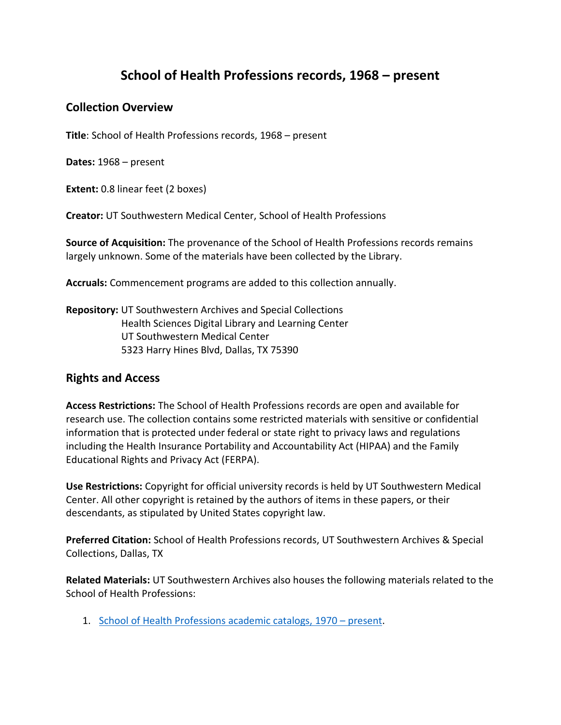# **School of Health Professions records, 1968 – present**

# **Collection Overview**

**Title**: School of Health Professions records, 1968 – present

**Dates:** 1968 – present

**Extent:** 0.8 linear feet (2 boxes)

**Creator:** UT Southwestern Medical Center, School of Health Professions

**Source of Acquisition:** The provenance of the School of Health Professions records remains largely unknown. Some of the materials have been collected by the Library.

**Accruals:** Commencement programs are added to this collection annually.

**Repository:** UT Southwestern Archives and Special Collections Health Sciences Digital Library and Learning Center UT Southwestern Medical Center 5323 Harry Hines Blvd, Dallas, TX 75390

## **Rights and Access**

**Access Restrictions:** The School of Health Professions records are open and available for research use. The collection contains some restricted materials with sensitive or confidential information that is protected under federal or state right to privacy laws and regulations including the Health Insurance Portability and Accountability Act (HIPAA) and the Family Educational Rights and Privacy Act (FERPA).

**Use Restrictions:** Copyright for official university records is held by UT Southwestern Medical Center. All other copyright is retained by the authors of items in these papers, or their descendants, as stipulated by United States copyright law.

**Preferred Citation:** School of Health Professions records, UT Southwestern Archives & Special Collections, Dallas, TX

**Related Materials:** UT Southwestern Archives also houses the following materials related to the School of Health Professions:

1. [School of Health Professions academic catalogs, 1970](https://utswm.bywatersolutions.com/cgi-bin/koha/opac-shelves.pl?op=view&shelfnumber=25&sortfield=itemcallnumber) – present.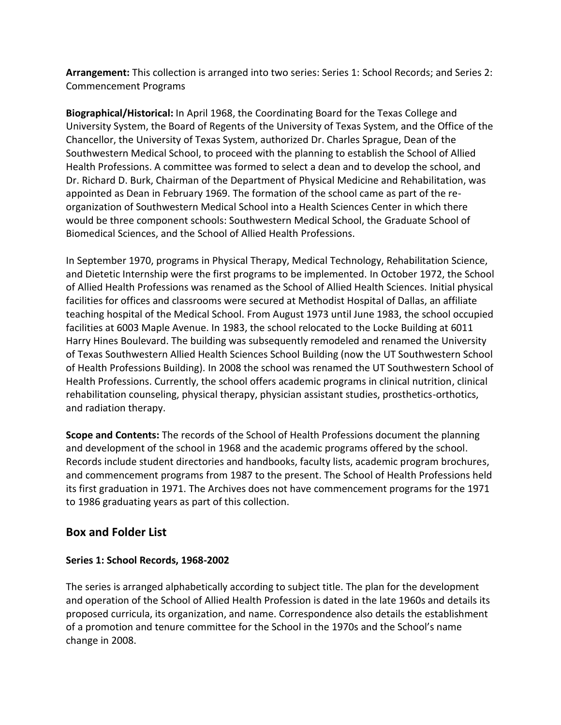**Arrangement:** This collection is arranged into two series: Series 1: School Records; and Series 2: Commencement Programs

**Biographical/Historical:** In April 1968, the Coordinating Board for the Texas College and University System, the Board of Regents of the University of Texas System, and the Office of the Chancellor, the University of Texas System, authorized Dr. Charles Sprague, Dean of the Southwestern Medical School, to proceed with the planning to establish the School of Allied Health Professions. A committee was formed to select a dean and to develop the school, and Dr. Richard D. Burk, Chairman of the Department of Physical Medicine and Rehabilitation, was appointed as Dean in February 1969. The formation of the school came as part of the reorganization of Southwestern Medical School into a Health Sciences Center in which there would be three component schools: Southwestern Medical School, the Graduate School of Biomedical Sciences, and the School of Allied Health Professions.

In September 1970, programs in Physical Therapy, Medical Technology, Rehabilitation Science, and Dietetic Internship were the first programs to be implemented. In October 1972, the School of Allied Health Professions was renamed as the School of Allied Health Sciences. Initial physical facilities for offices and classrooms were secured at Methodist Hospital of Dallas, an affiliate teaching hospital of the Medical School. From August 1973 until June 1983, the school occupied facilities at 6003 Maple Avenue. In 1983, the school relocated to the Locke Building at 6011 Harry Hines Boulevard. The building was subsequently remodeled and renamed the University of Texas Southwestern Allied Health Sciences School Building (now the UT Southwestern School of Health Professions Building). In 2008 the school was renamed the UT Southwestern School of Health Professions. Currently, the school offers academic programs in clinical nutrition, clinical rehabilitation counseling, physical therapy, physician assistant studies, prosthetics-orthotics, and radiation therapy.

**Scope and Contents:** The records of the School of Health Professions document the planning and development of the school in 1968 and the academic programs offered by the school. Records include student directories and handbooks, faculty lists, academic program brochures, and commencement programs from 1987 to the present. The School of Health Professions held its first graduation in 1971. The Archives does not have commencement programs for the 1971 to 1986 graduating years as part of this collection.

## **Box and Folder List**

#### **Series 1: School Records, 1968-2002**

The series is arranged alphabetically according to subject title. The plan for the development and operation of the School of Allied Health Profession is dated in the late 1960s and details its proposed curricula, its organization, and name. Correspondence also details the establishment of a promotion and tenure committee for the School in the 1970s and the School's name change in 2008.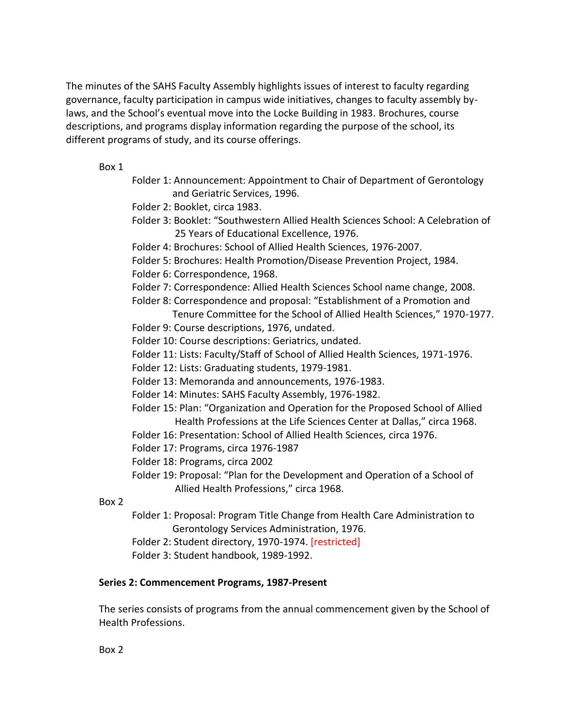The minutes of the SAHS Faculty Assembly highlights issues of interest to faculty regarding governance, faculty participation in campus wide initiatives, changes to faculty assembly bylaws, and the School's eventual move into the Locke Building in 1983. Brochures, course descriptions, and programs display information regarding the purpose of the school, its different programs of study, and its course offerings.

#### Box 1

- Folder 1: Announcement: Appointment to Chair of Department of Gerontology and Geriatric Services, 1996.
- Folder 2: Booklet, circa 1983.
- Folder 3: Booklet: "Southwestern Allied Health Sciences School: A Celebration of 25 Years of Educational Excellence, 1976.
- Folder 4: Brochures: School of Allied Health Sciences, 1976-2007.
- Folder 5: Brochures: Health Promotion/Disease Prevention Project, 1984.
- Folder 6: Correspondence, 1968.
- Folder 7: Correspondence: Allied Health Sciences School name change, 2008.
- Folder 8: Correspondence and proposal: "Establishment of a Promotion and
- Tenure Committee for the School of Allied Health Sciences," 1970-1977. Folder 9: Course descriptions, 1976, undated.
- Folder 10: Course descriptions: Geriatrics, undated.
- Folder 11: Lists: Faculty/Staff of School of Allied Health Sciences, 1971-1976.
- Folder 12: Lists: Graduating students, 1979-1981.
- Folder 13: Memoranda and announcements, 1976-1983.
- Folder 14: Minutes: SAHS Faculty Assembly, 1976-1982.
- Folder 15: Plan: "Organization and Operation for the Proposed School of Allied Health Professions at the Life Sciences Center at Dallas," circa 1968.
- Folder 16: Presentation: School of Allied Health Sciences, circa 1976.
- Folder 17: Programs, circa 1976-1987
- Folder 18: Programs, circa 2002
- Folder 19: Proposal: "Plan for the Development and Operation of a School of Allied Health Professions," circa 1968.
- Box 2
- Folder 1: Proposal: Program Title Change from Health Care Administration to Gerontology Services Administration, 1976.
- Folder 2: Student directory, 1970-1974. [restricted]
- Folder 3: Student handbook, 1989-1992.

#### **Series 2: Commencement Programs, 1987-Present**

The series consists of programs from the annual commencement given by the School of Health Professions.